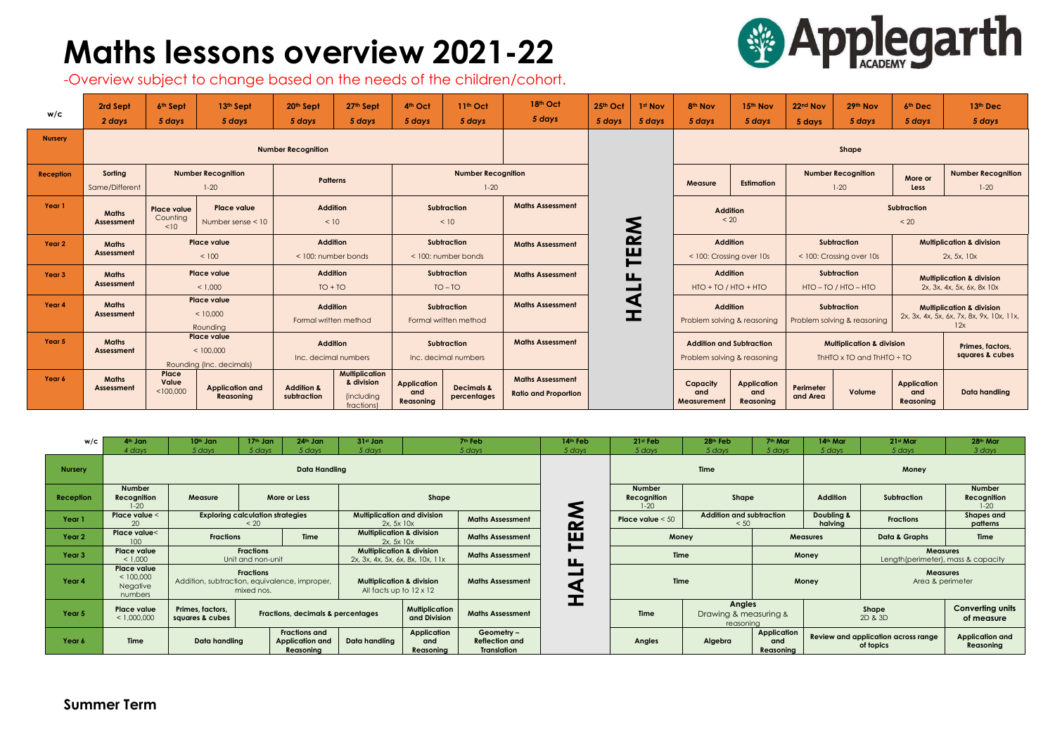## **Maths lessons overview 2021-22**

-Overview subject to change based on the needs of the children/cohort.

**Summer Term**

## **SApplegarth**

| w/c            | 2rd Sept<br>2 days         | 6 <sup>th</sup> Sept<br>5 days                              | 13th Sept<br>5 days                        | 20th Sept<br>5 days                      | 27th Sept<br>5 days                                                   | 4th Oct<br>5 days                          | 11 <sup>th</sup> Oct<br>5 days       | 18th Oct<br>5 days                                     | 25th Oct<br>5 days | 1st Nov<br>5 days                        | 8 <sup>th</sup> Nov<br>5 days                                  | 15th Nov<br>5 days                     | 22nd Nov<br>5 days                                                     | 29th Nov<br>5 days                    | 6th Dec<br>5 days                                                                        | 13th Dec<br>5 days                  |  |
|----------------|----------------------------|-------------------------------------------------------------|--------------------------------------------|------------------------------------------|-----------------------------------------------------------------------|--------------------------------------------|--------------------------------------|--------------------------------------------------------|--------------------|------------------------------------------|----------------------------------------------------------------|----------------------------------------|------------------------------------------------------------------------|---------------------------------------|------------------------------------------------------------------------------------------|-------------------------------------|--|
| <b>Nursery</b> | <b>Number Recognition</b>  |                                                             |                                            |                                          |                                                                       |                                            |                                      |                                                        |                    |                                          | Shape                                                          |                                        |                                                                        |                                       |                                                                                          |                                     |  |
| Reception      | Sorting<br>Same/Different  |                                                             | <b>Number Recognition</b><br>$1 - 20$      | <b>Patterns</b>                          |                                                                       |                                            | <b>Number Recognition</b><br>$1-20$  |                                                        |                    |                                          | <b>Measure</b>                                                 | <b>Estimation</b>                      |                                                                        | <b>Number Recognition</b><br>$1 - 20$ | More or<br><b>Less</b>                                                                   | <b>Number Recognition</b><br>$1-20$ |  |
| Year 1         | <b>Maths</b><br>Assessment | <b>Place value</b><br>Counting<br>$\leq 10$                 | <b>Place value</b><br>Number sense < 10    | <b>Addition</b><br>< 10                  |                                                                       |                                            | <b>Subtraction</b><br>< 10           | <b>Maths Assessment</b>                                |                    | Ś                                        |                                                                | <b>Addition</b><br>< 20                |                                                                        |                                       | <b>Subtraction</b><br>< 20                                                               |                                     |  |
| Year 2         | <b>Maths</b><br>Assessment | <b>Place value</b><br>< 100                                 |                                            | <b>Addition</b><br>< 100: number bonds   |                                                                       | <b>Subtraction</b><br>< 100: number bonds  |                                      | <b>Maths Assessment</b>                                |                    | $\mathbf{\alpha}$<br>ш<br>$\blacksquare$ | <b>Addition</b><br>< 100: Crossing over 10s                    |                                        | Subtraction<br>< 100: Crossing over 10s                                |                                       | <b>Multiplication &amp; division</b><br>2x, 5x, 10x                                      |                                     |  |
| Year 3         | <b>Maths</b><br>Assessment | <b>Place value</b><br>< 1,000                               |                                            | <b>Addition</b><br>$TO + TO$             |                                                                       | <b>Subtraction</b><br>$TO - TO$            |                                      | <b>Maths Assessment</b>                                |                    | Щ                                        | <b>Addition</b><br>$HTO + TO / HTO + HTO$                      |                                        | <b>Subtraction</b><br>HTO - TO / HTO - HTO                             |                                       | <b>Multiplication &amp; division</b><br>2x, 3x, 4x, 5x, 6x, 8x 10x                       |                                     |  |
| Year 4         | <b>Maths</b><br>Assessment | <b>Place value</b><br>< 10,000<br>Rounding                  |                                            | <b>Addition</b><br>Formal written method |                                                                       | Subtraction<br>Formal written method       |                                      | <b>Maths Assessment</b>                                |                    | $\blacktriangleleft$<br>工                | <b>Addition</b><br>Problem solving & reasoning                 |                                        | Subtraction<br>Problem solving & reasoning                             |                                       | <b>Multiplication &amp; division</b><br>2x, 3x, 4x, 5x, 6x, 7x, 8x, 9x, 10x, 11x,<br>12x |                                     |  |
| Year 5         | <b>Maths</b><br>Assessment | <b>Place value</b><br>< 100,000<br>Rounding (Inc. decimals) |                                            | <b>Addition</b><br>Inc. decimal numbers  |                                                                       | <b>Subtraction</b><br>Inc. decimal numbers |                                      | <b>Maths Assessment</b>                                |                    |                                          | <b>Addition and Subtraction</b><br>Problem solving & reasoning |                                        | <b>Multiplication &amp; division</b><br>ThHTO x TO and ThHTO $\div$ TO |                                       | Primes, factors.<br>squares & cubes                                                      |                                     |  |
| Year 6         | <b>Maths</b><br>Assessment | Place<br>Value<br>< 100,000                                 | <b>Application and</b><br><b>Reasoning</b> | <b>Addition &amp;</b><br>subtraction     | <b>Multiplication</b><br>& division<br><i>(including</i><br>fractions | <b>Application</b><br>and<br>Reasoning     | <b>Decimals &amp;</b><br>percentages | <b>Maths Assessment</b><br><b>Ratio and Proportion</b> |                    |                                          | Capacity<br>and<br>Measurement                                 | <b>Application</b><br>and<br>Reasoning | Perimeter<br>and Area                                                  | Volume                                | <b>Application</b><br>and<br>Reasoning                                                   | Data handling                       |  |

| w/c            | 4 <sup>th</sup> Jan<br>4 days                          | $10th$ Jan<br>5 days                                                            | $17th$ Jan<br>5 days                            | $24th$ Jan<br>5 days | $31st$ Jan<br>5 days                                                     |                                                           | 7 <sup>th</sup> Feb<br>5 days | 14 <sup>th</sup> Feb<br>5 days  | $21st$ Feb<br>5 days                                               | 28 <sup>th</sup> Feb<br>5 days          | 7 <sup>th</sup> Mar<br>5 days                           | 14th Mar<br>5 days               | 21st Mar<br>5 days                  | 28th Mar<br>3 days                                     |  |
|----------------|--------------------------------------------------------|---------------------------------------------------------------------------------|-------------------------------------------------|----------------------|--------------------------------------------------------------------------|-----------------------------------------------------------|-------------------------------|---------------------------------|--------------------------------------------------------------------|-----------------------------------------|---------------------------------------------------------|----------------------------------|-------------------------------------|--------------------------------------------------------|--|
| <b>Nursery</b> | <b>Data Handling</b>                                   |                                                                                 |                                                 |                      |                                                                          |                                                           |                               |                                 | <b>Time</b><br>Money                                               |                                         |                                                         |                                  |                                     |                                                        |  |
| Reception      | <b>Number</b><br>Recognition<br>$1-20$                 | Measure                                                                         |                                                 | More or Less         |                                                                          | Shape                                                     |                               |                                 | <b>Number</b><br>Recognition<br>$1 - 20$                           | Shape                                   |                                                         | <b>Addition</b>                  | Subtraction                         | <b>Number</b><br>Recognition<br>$1 - 20$               |  |
| Year 1         | Place value <<br>20 <sub>0</sub>                       |                                                                                 | <b>Exploring calculation strategies</b><br>< 20 |                      | <b>Multiplication and division</b><br>2x.5x10x                           |                                                           | <b>Maths Assessment</b>       | $\sim$                          | Place value $< 50$                                                 | <b>Addition and subtraction</b><br>< 50 |                                                         | <b>Doubling &amp;</b><br>halvina | <b>Fractions</b>                    | <b>Shapes and</b><br>patterns                          |  |
| Year 2         | Place value<<br>100                                    |                                                                                 | <b>Fractions</b><br><b>Time</b>                 |                      | <b>Multiplication &amp; division</b><br>2x.5x10x                         |                                                           | <b>Maths Assessment</b>       | Щ                               | Money                                                              |                                         | <b>Measures</b>                                         |                                  | Data & Graphs                       | <b>Time</b>                                            |  |
| Year 3         | Place value<br>< 1,000                                 | <b>Fractions</b><br>Unit and non-unit                                           |                                                 |                      | <b>Multiplication &amp; division</b><br>2x, 3x, 4x, 5x, 6x, 8x, 10x, 11x |                                                           | <b>Maths Assessment</b>       | $\blacksquare$<br>Щ             | <b>Time</b>                                                        |                                         |                                                         | Money                            |                                     | <b>Measures</b><br>Length (perimeter), mass & capacity |  |
| Year 4         | Place value<br>< 100,000<br><b>Negative</b><br>numbers | <b>Fractions</b><br>Addition, subtraction, equivalence, improper,<br>mixed nos. |                                                 |                      | <b>Multiplication &amp; division</b><br>All facts up to $12 \times 12$   |                                                           | <b>Maths Assessment</b>       |                                 | <b>Time</b>                                                        |                                         | Money                                                   |                                  | <b>Measures</b><br>Area & perimeter |                                                        |  |
| Year 5         | <b>Place value</b><br>< 1,000,000                      | Primes, factors,<br>squares & cubes                                             | <b>Fractions, decimals &amp; percentages</b>    |                      |                                                                          | <b>Multiplication</b><br>and Division                     | <b>Maths Assessment</b>       |                                 | <b>Angles</b><br><b>Time</b><br>Drawing & measuring &<br>reasoning |                                         |                                                         |                                  | Shape<br>2D & 3D                    | <b>Converting units</b><br>of measure                  |  |
| Year 6         | <b>Time</b>                                            | <b>Fractions and</b><br>Data handling<br><b>Application and</b><br>Reasoning    |                                                 | <b>Data handling</b> | Application<br>and<br>Reasoning                                          | Geometry -<br><b>Reflection and</b><br><b>Translation</b> |                               | <b>Angles</b><br>Algebra<br>and |                                                                    | <b>Application</b><br>Reasoning         | <b>Review and application across range</b><br>of topics |                                  | Application and<br>Reasoning        |                                                        |  |